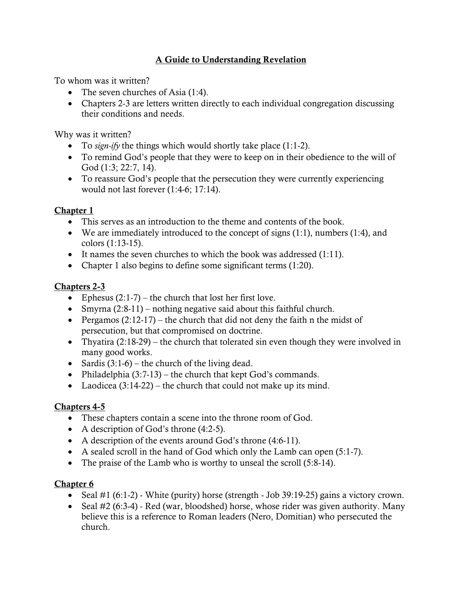## A Guide to Understanding Revelation

To whom was it written?

- The seven churches of Asia (1:4).
- Chapters 2-3 are letters written directly to each individual congregation discussing their conditions and needs.

Why was it written?

- To *sign-ify* the things which would shortly take place (1:1-2).
- To remind God's people that they were to keep on in their obedience to the will of God (1:3; 22:7, 14).
- To reassure God's people that the persecution they were currently experiencing would not last forever (1:4-6; 17:14).

### Chapter 1

- This serves as an introduction to the theme and contents of the book.
- We are immediately introduced to the concept of signs  $(1:1)$ , numbers  $(1:4)$ , and colors (1:13-15).
- It names the seven churches to which the book was addressed (1:11).
- Chapter 1 also begins to define some significant terms (1:20).

### Chapters 2-3

- Ephesus  $(2:1-7)$  the church that lost her first love.
- Smyrna  $(2:8-11)$  nothing negative said about this faithful church.
- Pergamos  $(2:12-17)$  the church that did not deny the faith n the midst of persecution, but that compromised on doctrine.
- Thyatira  $(2:18-29)$  the church that tolerated sin even though they were involved in many good works.
- Sardis  $(3:1-6)$  the church of the living dead.
- Philadelphia  $(3:7-13)$  the church that kept God's commands.
- Laodicea  $(3:14-22)$  the church that could not make up its mind.

### Chapters 4-5

- These chapters contain a scene into the throne room of God.
- A description of God's throne (4:2-5).
- A description of the events around God's throne (4:6-11).
- A sealed scroll in the hand of God which only the Lamb can open (5:1-7).
- The praise of the Lamb who is worthy to unseal the scroll (5:8-14).

- Seal #1 (6:1-2) White (purity) horse (strength Job 39:19-25) gains a victory crown.
- Seal #2 (6:3-4) Red (war, bloodshed) horse, whose rider was given authority. Many believe this is a reference to Roman leaders (Nero, Domitian) who persecuted the church.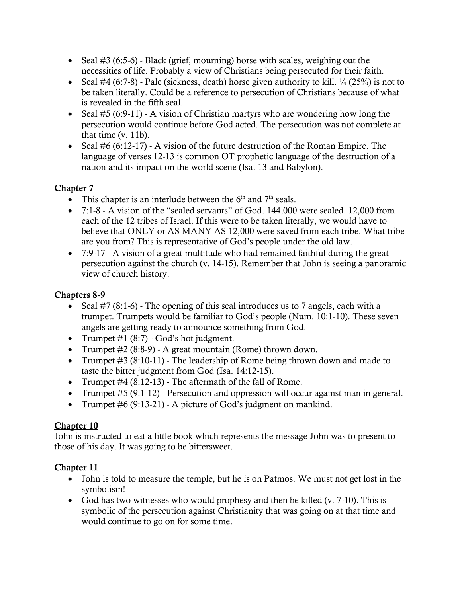- Seal #3 (6:5-6) Black (grief, mourning) horse with scales, weighing out the necessities of life. Probably a view of Christians being persecuted for their faith.
- Seal #4 (6:7-8) Pale (sickness, death) horse given authority to kill.  $\frac{1}{4}$  (25%) is not to be taken literally. Could be a reference to persecution of Christians because of what is revealed in the fifth seal.
- Seal #5 (6:9-11) A vision of Christian martyrs who are wondering how long the persecution would continue before God acted. The persecution was not complete at that time (v. 11b).
- Seal #6 (6:12-17) A vision of the future destruction of the Roman Empire. The language of verses 12-13 is common OT prophetic language of the destruction of a nation and its impact on the world scene (Isa. 13 and Babylon).

- This chapter is an interlude between the  $6<sup>th</sup>$  and  $7<sup>th</sup>$  seals.
- 7:1-8 A vision of the "sealed servants" of God. 144,000 were sealed. 12,000 from each of the 12 tribes of Israel. If this were to be taken literally, we would have to believe that ONLY or AS MANY AS 12,000 were saved from each tribe. What tribe are you from? This is representative of God's people under the old law.
- 7:9-17 A vision of a great multitude who had remained faithful during the great persecution against the church (v. 14-15). Remember that John is seeing a panoramic view of church history.

## Chapters 8-9

- Seal #7 (8:1-6) The opening of this seal introduces us to 7 angels, each with a trumpet. Trumpets would be familiar to God's people (Num. 10:1-10). These seven angels are getting ready to announce something from God.
- Trumpet  $\#1$  (8:7) God's hot judgment.
- Trumpet #2 (8:8-9) A great mountain (Rome) thrown down.
- Trumpet #3 (8:10-11) The leadership of Rome being thrown down and made to taste the bitter judgment from God (Isa. 14:12-15).
- Trumpet  $\#4$  (8:12-13) The aftermath of the fall of Rome.
- Trumpet #5 (9:1-12) Persecution and oppression will occur against man in general.
- Trumpet #6 (9:13-21) A picture of God's judgment on mankind.

### Chapter 10

John is instructed to eat a little book which represents the message John was to present to those of his day. It was going to be bittersweet.

- John is told to measure the temple, but he is on Patmos. We must not get lost in the symbolism!
- God has two witnesses who would prophesy and then be killed (v. 7-10). This is symbolic of the persecution against Christianity that was going on at that time and would continue to go on for some time.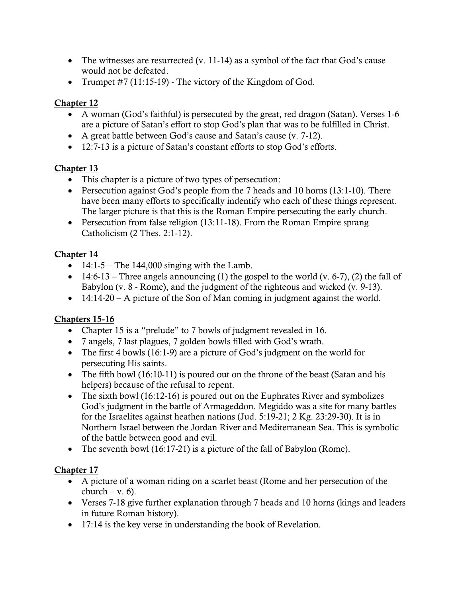- The witnesses are resurrected (v. 11-14) as a symbol of the fact that God's cause would not be defeated.
- Trumpet  $\#7$  (11:15-19) The victory of the Kingdom of God.

- A woman (God's faithful) is persecuted by the great, red dragon (Satan). Verses 1-6 are a picture of Satan's effort to stop God's plan that was to be fulfilled in Christ.
- A great battle between God's cause and Satan's cause (v. 7-12).
- 12:7-13 is a picture of Satan's constant efforts to stop God's efforts.

## Chapter 13

- This chapter is a picture of two types of persecution:
- Persecution against God's people from the 7 heads and 10 horns (13:1-10). There have been many efforts to specifically indentify who each of these things represent. The larger picture is that this is the Roman Empire persecuting the early church.
- Persecution from false religion (13:11-18). From the Roman Empire sprang Catholicism (2 Thes. 2:1-12).

# Chapter 14

- $14:1-5$  The 144,000 singing with the Lamb.
- 14:6-13 Three angels announcing (1) the gospel to the world (v. 6-7), (2) the fall of Babylon (v. 8 - Rome), and the judgment of the righteous and wicked (v. 9-13).
- 14:14-20 A picture of the Son of Man coming in judgment against the world.

# Chapters 15-16

- Chapter 15 is a "prelude" to 7 bowls of judgment revealed in 16.
- 7 angels, 7 last plagues, 7 golden bowls filled with God's wrath.
- The first 4 bowls (16:1-9) are a picture of God's judgment on the world for persecuting His saints.
- The fifth bowl (16:10-11) is poured out on the throne of the beast (Satan and his helpers) because of the refusal to repent.
- The sixth bowl (16:12-16) is poured out on the Euphrates River and symbolizes God's judgment in the battle of Armageddon. Megiddo was a site for many battles for the Israelites against heathen nations (Jud. 5:19-21; 2 Kg. 23:29-30). It is in Northern Israel between the Jordan River and Mediterranean Sea. This is symbolic of the battle between good and evil.
- The seventh bowl (16:17-21) is a picture of the fall of Babylon (Rome).

- A picture of a woman riding on a scarlet beast (Rome and her persecution of the  $\text{church} - \text{v}$ . 6).
- Verses 7-18 give further explanation through 7 heads and 10 horns (kings and leaders in future Roman history).
- 17:14 is the key verse in understanding the book of Revelation.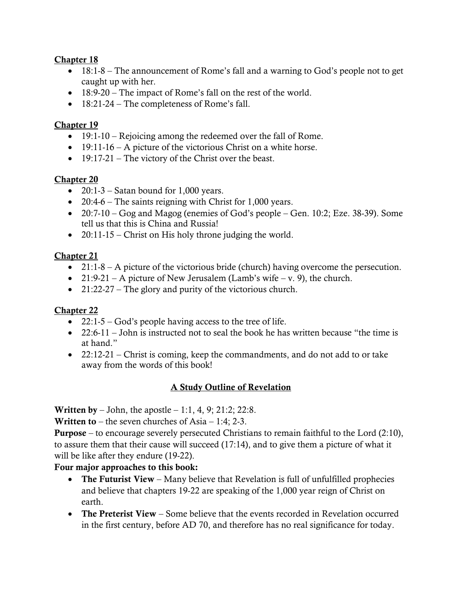- 18:1-8 The announcement of Rome's fall and a warning to God's people not to get caught up with her.
- 18:9-20 The impact of Rome's fall on the rest of the world.
- 18:21-24 The completeness of Rome's fall.

### Chapter 19

- 19:1-10 Rejoicing among the redeemed over the fall of Rome.
- 19:11-16 A picture of the victorious Christ on a white horse.
- 19:17-21 The victory of the Christ over the beast.

### Chapter 20

- 20:1-3 Satan bound for 1,000 years.
- 20:4-6 The saints reigning with Christ for 1,000 years.
- 20:7-10 Gog and Magog (enemies of God's people Gen. 10:2; Eze. 38-39). Some tell us that this is China and Russia!
- 20:11-15 Christ on His holy throne judging the world.

### Chapter 21

- 21:1-8 A picture of the victorious bride (church) having overcome the persecution.
- 21:9-21 A picture of New Jerusalem (Lamb's wife v. 9), the church.
- 21:22-27 The glory and purity of the victorious church.

### Chapter 22

- 22:1-5 God's people having access to the tree of life.
- 22:6-11 John is instructed not to seal the book he has written because "the time is at hand."
- 22:12-21 Christ is coming, keep the commandments, and do not add to or take away from the words of this book!

### A Study Outline of Revelation

**Written by** – John, the apostle – 1:1, 4, 9; 21:2; 22:8.

**Written to** – the seven churches of Asia – 1:4; 2-3.

Purpose – to encourage severely persecuted Christians to remain faithful to the Lord (2:10), to assure them that their cause will succeed (17:14), and to give them a picture of what it will be like after they endure (19-22).

### Four major approaches to this book:

- The Futurist View Many believe that Revelation is full of unfulfilled prophecies and believe that chapters 19-22 are speaking of the 1,000 year reign of Christ on earth.
- The Preterist View Some believe that the events recorded in Revelation occurred in the first century, before AD 70, and therefore has no real significance for today.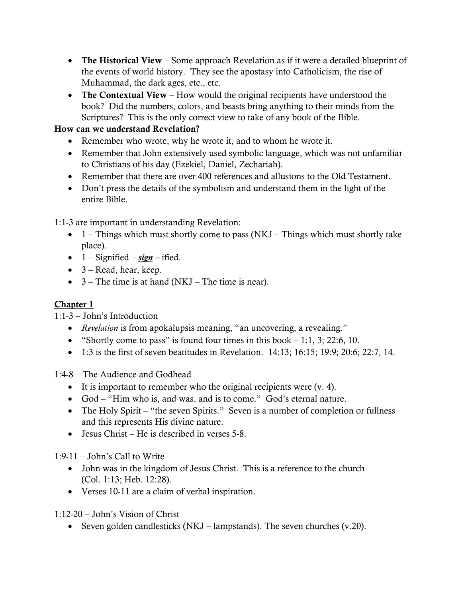- The Historical View Some approach Revelation as if it were a detailed blueprint of the events of world history. They see the apostasy into Catholicism, the rise of Muhammad, the dark ages, etc., etc.
- The Contextual View How would the original recipients have understood the book? Did the numbers, colors, and beasts bring anything to their minds from the Scriptures? This is the only correct view to take of any book of the Bible.

# How can we understand Revelation?

- Remember who wrote, why he wrote it, and to whom he wrote it.
- Remember that John extensively used symbolic language, which was not unfamiliar to Christians of his day (Ezekiel, Daniel, Zechariah).
- Remember that there are over 400 references and allusions to the Old Testament.
- Don't press the details of the symbolism and understand them in the light of the entire Bible.

1:1-3 are important in understanding Revelation:

- $1 -$  Things which must shortly come to pass (NKJ Things which must shortly take place).
- $1 -$  Signified  $-$  *sign*  $-$  ified.
- $\bullet$  3 Read, hear, keep.
- $3$  The time is at hand (NKJ The time is near).

## Chapter 1

1:1-3 – John's Introduction

- *Revelation* is from apokalupsis meaning, "an uncovering, a revealing."
- "Shortly come to pass" is found four times in this book  $-1:1, 3; 22:6, 10$ .
- 1:3 is the first of seven beatitudes in Revelation. 14:13; 16:15; 19:9; 20:6; 22:7, 14.

1:4-8 – The Audience and Godhead

- It is important to remember who the original recipients were (v. 4).
- God "Him who is, and was, and is to come." God's eternal nature.
- The Holy Spirit "the seven Spirits." Seven is a number of completion or fullness and this represents His divine nature.
- Jesus Christ He is described in verses 5-8.

1:9-11 – John's Call to Write

- John was in the kingdom of Jesus Christ. This is a reference to the church (Col. 1:13; Heb. 12:28).
- Verses 10-11 are a claim of verbal inspiration.

1:12-20 – John's Vision of Christ

• Seven golden candlesticks (NKJ – lampstands). The seven churches (v.20).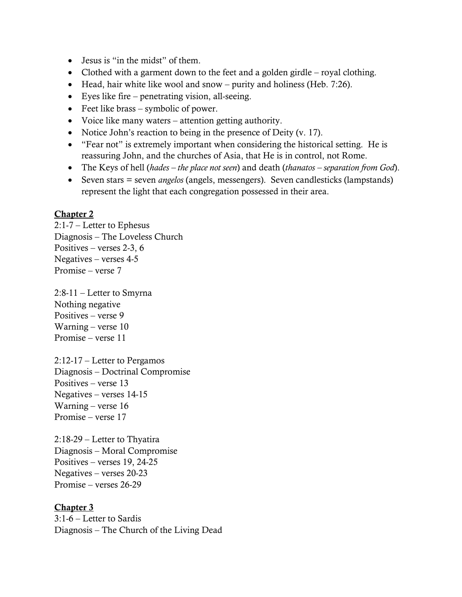- Jesus is "in the midst" of them.
- Clothed with a garment down to the feet and a golden girdle royal clothing.
- Head, hair white like wool and snow purity and holiness (Heb. 7:26).
- Eyes like fire penetrating vision, all-seeing.
- Feet like brass symbolic of power.
- Voice like many waters attention getting authority.
- Notice John's reaction to being in the presence of Deity (v. 17).
- "Fear not" is extremely important when considering the historical setting. He is reassuring John, and the churches of Asia, that He is in control, not Rome.
- The Keys of hell (*hades – the place not seen*) and death (*thanatos – separation from God*).
- Seven stars = seven *angelos* (angels, messengers). Seven candlesticks (lampstands) represent the light that each congregation possessed in their area.

2:1-7 – Letter to Ephesus Diagnosis – The Loveless Church Positives – verses 2-3, 6 Negatives – verses 4-5 Promise – verse 7

2:8-11 – Letter to Smyrna Nothing negative Positives – verse 9 Warning – verse 10 Promise – verse 11

2:12-17 – Letter to Pergamos Diagnosis – Doctrinal Compromise Positives – verse 13 Negatives – verses 14-15 Warning – verse 16 Promise – verse 17

2:18-29 – Letter to Thyatira Diagnosis – Moral Compromise Positives – verses 19, 24-25 Negatives – verses 20-23 Promise – verses 26-29

#### Chapter 3

3:1-6 – Letter to Sardis Diagnosis – The Church of the Living Dead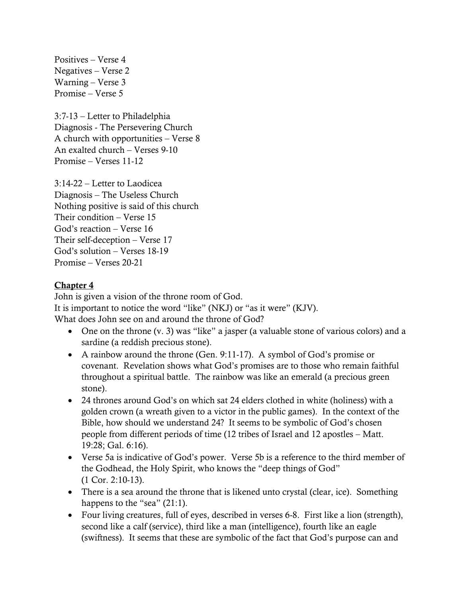Positives – Verse 4 Negatives – Verse 2 Warning – Verse 3 Promise – Verse 5

3:7-13 – Letter to Philadelphia Diagnosis - The Persevering Church A church with opportunities – Verse 8 An exalted church – Verses 9-10 Promise – Verses 11-12

3:14-22 – Letter to Laodicea Diagnosis – The Useless Church Nothing positive is said of this church Their condition – Verse 15 God's reaction – Verse 16 Their self-deception – Verse 17 God's solution – Verses 18-19 Promise – Verses 20-21

### Chapter 4

John is given a vision of the throne room of God. It is important to notice the word "like" (NKJ) or "as it were" (KJV). What does John see on and around the throne of God?

- One on the throne (v. 3) was "like" a jasper (a valuable stone of various colors) and a sardine (a reddish precious stone).
- A rainbow around the throne (Gen. 9:11-17). A symbol of God's promise or covenant. Revelation shows what God's promises are to those who remain faithful throughout a spiritual battle. The rainbow was like an emerald (a precious green stone).
- 24 thrones around God's on which sat 24 elders clothed in white (holiness) with a golden crown (a wreath given to a victor in the public games). In the context of the Bible, how should we understand 24? It seems to be symbolic of God's chosen people from different periods of time (12 tribes of Israel and 12 apostles – Matt. 19:28; Gal. 6:16).
- Verse 5a is indicative of God's power. Verse 5b is a reference to the third member of the Godhead, the Holy Spirit, who knows the "deep things of God" (1 Cor. 2:10-13).
- There is a sea around the throne that is likened unto crystal (clear, ice). Something happens to the "sea" (21:1).
- Four living creatures, full of eyes, described in verses 6-8. First like a lion (strength), second like a calf (service), third like a man (intelligence), fourth like an eagle (swiftness). It seems that these are symbolic of the fact that God's purpose can and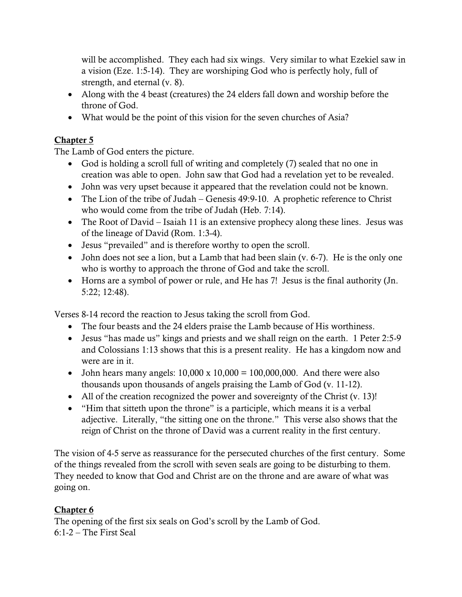will be accomplished. They each had six wings. Very similar to what Ezekiel saw in a vision (Eze. 1:5-14). They are worshiping God who is perfectly holy, full of strength, and eternal (v. 8).

- Along with the 4 beast (creatures) the 24 elders fall down and worship before the throne of God.
- What would be the point of this vision for the seven churches of Asia?

### Chapter 5

The Lamb of God enters the picture.

- God is holding a scroll full of writing and completely (7) sealed that no one in creation was able to open. John saw that God had a revelation yet to be revealed.
- John was very upset because it appeared that the revelation could not be known.
- The Lion of the tribe of Judah Genesis 49:9-10. A prophetic reference to Christ who would come from the tribe of Judah (Heb. 7:14).
- The Root of David Isaiah 11 is an extensive prophecy along these lines. Jesus was of the lineage of David (Rom. 1:3-4).
- Jesus "prevailed" and is therefore worthy to open the scroll.
- John does not see a lion, but a Lamb that had been slain (v. 6-7). He is the only one who is worthy to approach the throne of God and take the scroll.
- Horns are a symbol of power or rule, and He has 7! Jesus is the final authority (Jn. 5:22; 12:48).

Verses 8-14 record the reaction to Jesus taking the scroll from God.

- The four beasts and the 24 elders praise the Lamb because of His worthiness.
- Jesus "has made us" kings and priests and we shall reign on the earth. 1 Peter 2:5-9 and Colossians 1:13 shows that this is a present reality. He has a kingdom now and were are in it.
- John hears many angels:  $10,000 \times 10,000 = 100,000,000$ . And there were also thousands upon thousands of angels praising the Lamb of God (v. 11-12).
- All of the creation recognized the power and sovereignty of the Christ (v. 13)!
- "Him that sitteth upon the throne" is a participle, which means it is a verbal adjective. Literally, "the sitting one on the throne." This verse also shows that the reign of Christ on the throne of David was a current reality in the first century.

The vision of 4-5 serve as reassurance for the persecuted churches of the first century. Some of the things revealed from the scroll with seven seals are going to be disturbing to them. They needed to know that God and Christ are on the throne and are aware of what was going on.

### Chapter 6

The opening of the first six seals on God's scroll by the Lamb of God.  $6:1-2$  – The First Seal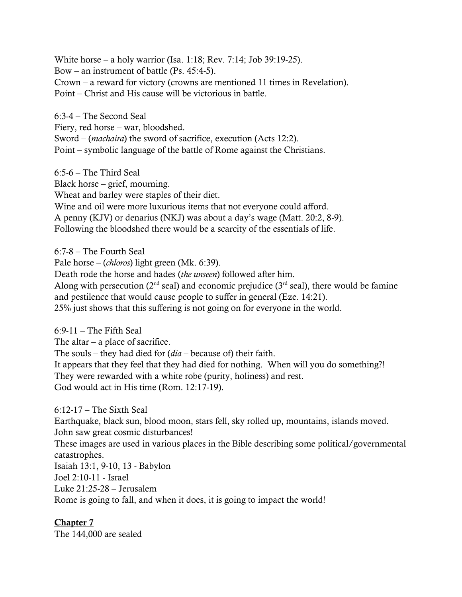White horse – a holy warrior (Isa. 1:18; Rev. 7:14; Job 39:19-25). Bow – an instrument of battle (Ps. 45:4-5). Crown – a reward for victory (crowns are mentioned 11 times in Revelation). Point – Christ and His cause will be victorious in battle.

6:3-4 – The Second Seal Fiery, red horse – war, bloodshed. Sword – (*machaira*) the sword of sacrifice, execution (Acts 12:2). Point – symbolic language of the battle of Rome against the Christians.

6:5-6 – The Third Seal Black horse – grief, mourning. Wheat and barley were staples of their diet. Wine and oil were more luxurious items that not everyone could afford. A penny (KJV) or denarius (NKJ) was about a day's wage (Matt. 20:2, 8-9). Following the bloodshed there would be a scarcity of the essentials of life.

6:7-8 – The Fourth Seal

Pale horse – (*chloros*) light green (Mk. 6:39).

Death rode the horse and hades (*the unseen*) followed after him.

Along with persecution ( $2<sup>nd</sup>$  seal) and economic prejudice ( $3<sup>rd</sup>$  seal), there would be famine and pestilence that would cause people to suffer in general (Eze. 14:21).

25% just shows that this suffering is not going on for everyone in the world.

 $6:9-11$  – The Fifth Seal

The altar  $-$  a place of sacrifice.

The souls – they had died for (*dia* – because of) their faith.

It appears that they feel that they had died for nothing. When will you do something?! They were rewarded with a white robe (purity, holiness) and rest. God would act in His time (Rom. 12:17-19).

6:12-17 – The Sixth Seal

Earthquake, black sun, blood moon, stars fell, sky rolled up, mountains, islands moved. John saw great cosmic disturbances!

These images are used in various places in the Bible describing some political/governmental catastrophes.

Isaiah 13:1, 9-10, 13 - Babylon Joel 2:10-11 - Israel Luke 21:25-28 – Jerusalem Rome is going to fall, and when it does, it is going to impact the world!

Chapter 7

The 144,000 are sealed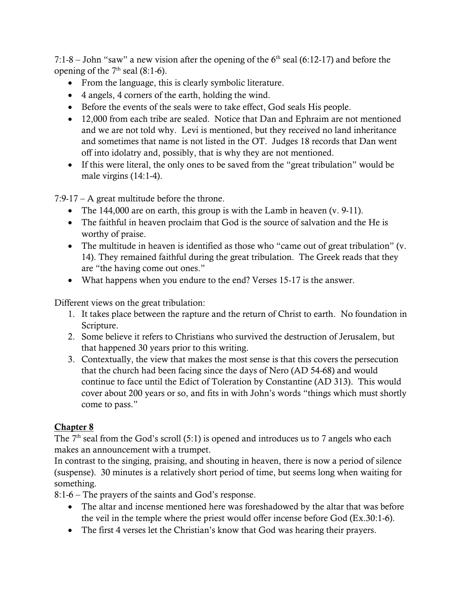7:1-8 – John "saw" a new vision after the opening of the  $6<sup>th</sup>$  seal (6:12-17) and before the opening of the  $7<sup>th</sup>$  seal (8:1-6).

- From the language, this is clearly symbolic literature.
- 4 angels, 4 corners of the earth, holding the wind.
- Before the events of the seals were to take effect, God seals His people.
- 12,000 from each tribe are sealed. Notice that Dan and Ephraim are not mentioned and we are not told why. Levi is mentioned, but they received no land inheritance and sometimes that name is not listed in the OT. Judges 18 records that Dan went off into idolatry and, possibly, that is why they are not mentioned.
- If this were literal, the only ones to be saved from the "great tribulation" would be male virgins  $(14:1-4)$ .

7:9-17 – A great multitude before the throne.

- The 144,000 are on earth, this group is with the Lamb in heaven (v. 9-11).
- The faithful in heaven proclaim that God is the source of salvation and the He is worthy of praise.
- The multitude in heaven is identified as those who "came out of great tribulation" (v. 14). They remained faithful during the great tribulation. The Greek reads that they are "the having come out ones."
- What happens when you endure to the end? Verses 15-17 is the answer.

Different views on the great tribulation:

- 1. It takes place between the rapture and the return of Christ to earth. No foundation in Scripture.
- 2. Some believe it refers to Christians who survived the destruction of Jerusalem, but that happened 30 years prior to this writing.
- 3. Contextually, the view that makes the most sense is that this covers the persecution that the church had been facing since the days of Nero (AD 54-68) and would continue to face until the Edict of Toleration by Constantine (AD 313). This would cover about 200 years or so, and fits in with John's words "things which must shortly come to pass."

# Chapter 8

The  $7<sup>th</sup>$  seal from the God's scroll (5:1) is opened and introduces us to 7 angels who each makes an announcement with a trumpet.

In contrast to the singing, praising, and shouting in heaven, there is now a period of silence (suspense). 30 minutes is a relatively short period of time, but seems long when waiting for something.

8:1-6 – The prayers of the saints and God's response.

- The altar and incense mentioned here was foreshadowed by the altar that was before the veil in the temple where the priest would offer incense before God (Ex.30:1-6).
- The first 4 verses let the Christian's know that God was hearing their prayers.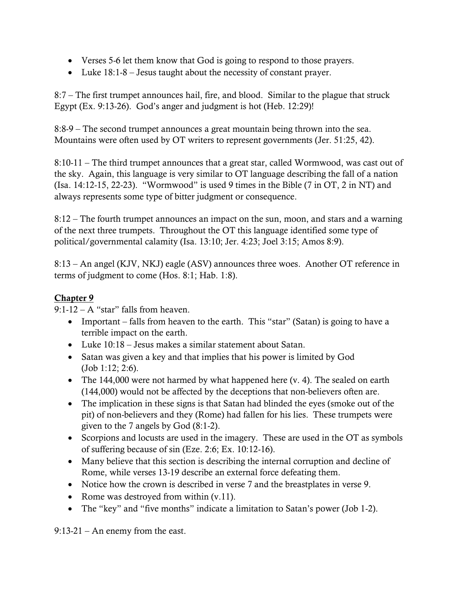- Verses 5-6 let them know that God is going to respond to those prayers.
- Luke 18:1-8 Jesus taught about the necessity of constant prayer.

8:7 – The first trumpet announces hail, fire, and blood. Similar to the plague that struck Egypt (Ex. 9:13-26). God's anger and judgment is hot (Heb. 12:29)!

8:8-9 – The second trumpet announces a great mountain being thrown into the sea. Mountains were often used by OT writers to represent governments (Jer. 51:25, 42).

8:10-11 – The third trumpet announces that a great star, called Wormwood, was cast out of the sky. Again, this language is very similar to OT language describing the fall of a nation (Isa. 14:12-15, 22-23). "Wormwood" is used 9 times in the Bible (7 in OT, 2 in NT) and always represents some type of bitter judgment or consequence.

8:12 – The fourth trumpet announces an impact on the sun, moon, and stars and a warning of the next three trumpets. Throughout the OT this language identified some type of political/governmental calamity (Isa. 13:10; Jer. 4:23; Joel 3:15; Amos 8:9).

8:13 – An angel (KJV, NKJ) eagle (ASV) announces three woes. Another OT reference in terms of judgment to come (Hos. 8:1; Hab. 1:8).

### Chapter 9

9:1-12 – A "star" falls from heaven.

- Important falls from heaven to the earth. This "star" (Satan) is going to have a terrible impact on the earth.
- Luke 10:18 Jesus makes a similar statement about Satan.
- Satan was given a key and that implies that his power is limited by God (Job 1:12; 2:6).
- The 144,000 were not harmed by what happened here (v. 4). The sealed on earth (144,000) would not be affected by the deceptions that non-believers often are.
- The implication in these signs is that Satan had blinded the eyes (smoke out of the pit) of non-believers and they (Rome) had fallen for his lies. These trumpets were given to the 7 angels by God (8:1-2).
- Scorpions and locusts are used in the imagery. These are used in the OT as symbols of suffering because of sin (Eze. 2:6; Ex. 10:12-16).
- Many believe that this section is describing the internal corruption and decline of Rome, while verses 13-19 describe an external force defeating them.
- Notice how the crown is described in verse 7 and the breastplates in verse 9.
- Rome was destroyed from within  $(v.11)$ .
- The "key" and "five months" indicate a limitation to Satan's power (Job 1-2).

9:13-21 – An enemy from the east.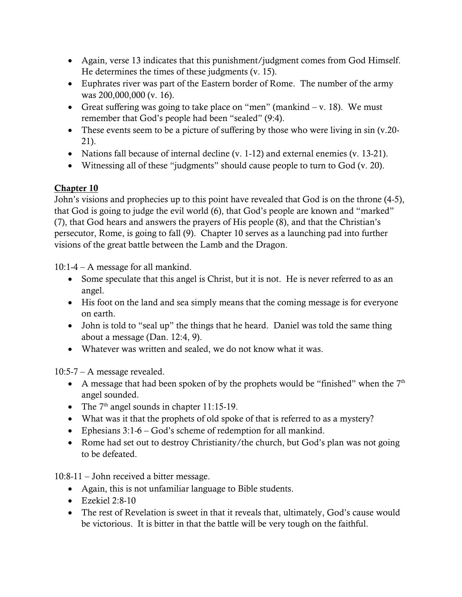- Again, verse 13 indicates that this punishment/judgment comes from God Himself. He determines the times of these judgments (v. 15).
- Euphrates river was part of the Eastern border of Rome. The number of the army was 200,000,000 (v. 16).
- Great suffering was going to take place on "men" (mankind  $v$ . 18). We must remember that God's people had been "sealed" (9:4).
- These events seem to be a picture of suffering by those who were living in sin (v.20-21).
- Nations fall because of internal decline (v. 1-12) and external enemies (v. 13-21).
- Witnessing all of these "judgments" should cause people to turn to God (v. 20).

John's visions and prophecies up to this point have revealed that God is on the throne (4-5), that God is going to judge the evil world (6), that God's people are known and "marked" (7), that God hears and answers the prayers of His people (8), and that the Christian's persecutor, Rome, is going to fall (9). Chapter 10 serves as a launching pad into further visions of the great battle between the Lamb and the Dragon.

10:1-4 – A message for all mankind.

- Some speculate that this angel is Christ, but it is not. He is never referred to as an angel.
- His foot on the land and sea simply means that the coming message is for everyone on earth.
- John is told to "seal up" the things that he heard. Daniel was told the same thing about a message (Dan. 12:4, 9).
- Whatever was written and sealed, we do not know what it was.

10:5-7 – A message revealed.

- A message that had been spoken of by the prophets would be "finished" when the  $7<sup>th</sup>$ angel sounded.
- The  $7<sup>th</sup>$  angel sounds in chapter 11:15-19.
- What was it that the prophets of old spoke of that is referred to as a mystery?
- Ephesians 3:1-6 God's scheme of redemption for all mankind.
- Rome had set out to destroy Christianity/the church, but God's plan was not going to be defeated.

10:8-11 – John received a bitter message.

- Again, this is not unfamiliar language to Bible students.
- Ezekiel 2:8-10
- The rest of Revelation is sweet in that it reveals that, ultimately, God's cause would be victorious. It is bitter in that the battle will be very tough on the faithful.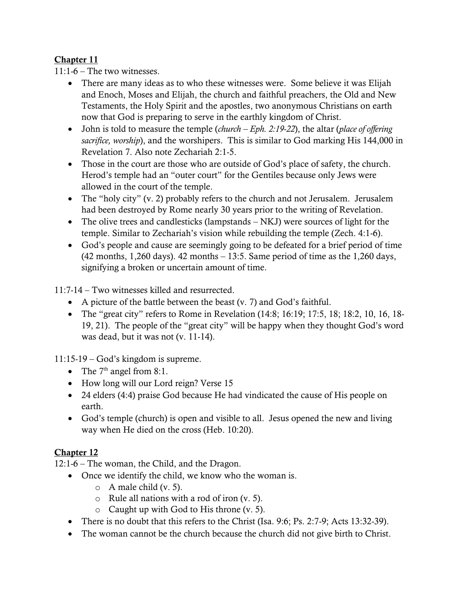11:1-6 – The two witnesses.

- There are many ideas as to who these witnesses were. Some believe it was Elijah and Enoch, Moses and Elijah, the church and faithful preachers, the Old and New Testaments, the Holy Spirit and the apostles, two anonymous Christians on earth now that God is preparing to serve in the earthly kingdom of Christ.
- John is told to measure the temple (*church – Eph. 2:19-22*), the altar (*place of offering sacrifice, worship*), and the worshipers. This is similar to God marking His 144,000 in Revelation 7. Also note Zechariah 2:1-5.
- Those in the court are those who are outside of God's place of safety, the church. Herod's temple had an "outer court" for the Gentiles because only Jews were allowed in the court of the temple.
- The "holy city" (v. 2) probably refers to the church and not Jerusalem. Jerusalem had been destroyed by Rome nearly 30 years prior to the writing of Revelation.
- The olive trees and candlesticks (lampstands NKJ) were sources of light for the temple. Similar to Zechariah's vision while rebuilding the temple (Zech. 4:1-6).
- God's people and cause are seemingly going to be defeated for a brief period of time (42 months, 1,260 days). 42 months – 13:5. Same period of time as the 1,260 days, signifying a broken or uncertain amount of time.

11:7-14 – Two witnesses killed and resurrected.

- A picture of the battle between the beast (v. 7) and God's faithful.
- The "great city" refers to Rome in Revelation (14:8; 16:19; 17:5, 18; 18:2, 10, 16, 18- 19, 21). The people of the "great city" will be happy when they thought God's word was dead, but it was not (v. 11-14).

11:15-19 – God's kingdom is supreme.

- The  $7<sup>th</sup>$  angel from 8:1.
- How long will our Lord reign? Verse 15
- 24 elders (4:4) praise God because He had vindicated the cause of His people on earth.
- God's temple (church) is open and visible to all. Jesus opened the new and living way when He died on the cross (Heb. 10:20).

# Chapter 12

12:1-6 – The woman, the Child, and the Dragon.

- Once we identify the child, we know who the woman is.
	- $\circ$  A male child (v. 5).
	- o Rule all nations with a rod of iron (v. 5).
	- o Caught up with God to His throne (v. 5).
- There is no doubt that this refers to the Christ (Isa. 9:6; Ps. 2:7-9; Acts 13:32-39).
- The woman cannot be the church because the church did not give birth to Christ.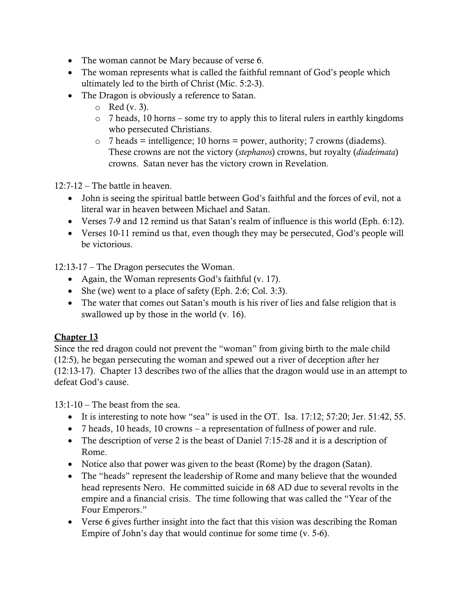- The woman cannot be Mary because of verse 6.
- The woman represents what is called the faithful remnant of God's people which ultimately led to the birth of Christ (Mic. 5:2-3).
- The Dragon is obviously a reference to Satan.
	- $\circ$  Red (v. 3).
	- o 7 heads, 10 horns some try to apply this to literal rulers in earthly kingdoms who persecuted Christians.
	- $\circ$  7 heads = intelligence; 10 horns = power, authority; 7 crowns (diadems). These crowns are not the victory (*stephanos*) crowns, but royalty (*diadeimata*) crowns. Satan never has the victory crown in Revelation.

12:7-12 – The battle in heaven.

- John is seeing the spiritual battle between God's faithful and the forces of evil, not a literal war in heaven between Michael and Satan.
- Verses 7-9 and 12 remind us that Satan's realm of influence is this world (Eph. 6:12).
- Verses 10-11 remind us that, even though they may be persecuted, God's people will be victorious.

12:13-17 – The Dragon persecutes the Woman.

- Again, the Woman represents God's faithful (v. 17).
- She (we) went to a place of safety (Eph. 2:6; Col. 3:3).
- The water that comes out Satan's mouth is his river of lies and false religion that is swallowed up by those in the world (v. 16).

### Chapter 13

Since the red dragon could not prevent the "woman" from giving birth to the male child (12:5), he began persecuting the woman and spewed out a river of deception after her (12:13-17). Chapter 13 describes two of the allies that the dragon would use in an attempt to defeat God's cause.

 $13:1-10$  – The beast from the sea.

- It is interesting to note how "sea" is used in the OT. Isa. 17:12; 57:20; Jer. 51:42, 55.
- 7 heads, 10 heads, 10 crowns a representation of fullness of power and rule.
- The description of verse 2 is the beast of Daniel 7:15-28 and it is a description of Rome.
- Notice also that power was given to the beast (Rome) by the dragon (Satan).
- The "heads" represent the leadership of Rome and many believe that the wounded head represents Nero. He committed suicide in 68 AD due to several revolts in the empire and a financial crisis. The time following that was called the "Year of the Four Emperors."
- Verse 6 gives further insight into the fact that this vision was describing the Roman Empire of John's day that would continue for some time (v. 5-6).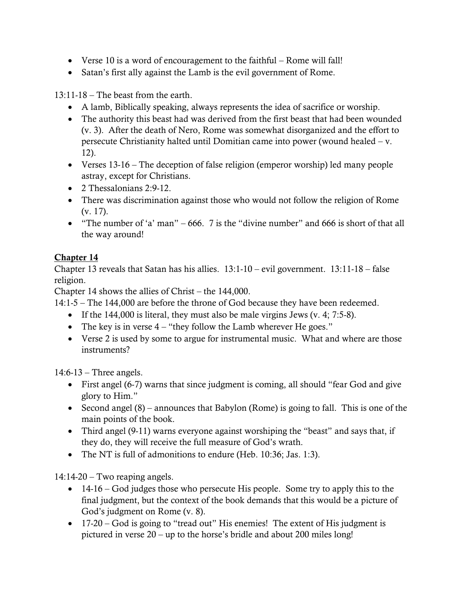- Verse 10 is a word of encouragement to the faithful Rome will fall!
- Satan's first ally against the Lamb is the evil government of Rome.

13:11-18 – The beast from the earth.

- A lamb, Biblically speaking, always represents the idea of sacrifice or worship.
- The authority this beast had was derived from the first beast that had been wounded (v. 3). After the death of Nero, Rome was somewhat disorganized and the effort to persecute Christianity halted until Domitian came into power (wound healed – v. 12).
- Verses 13-16 The deception of false religion (emperor worship) led many people astray, except for Christians.
- 2 Thessalonians 2:9-12.
- There was discrimination against those who would not follow the religion of Rome (v. 17).
- "The number of 'a' man" 666. 7 is the "divine number" and 666 is short of that all the way around!

# Chapter 14

Chapter 13 reveals that Satan has his allies. 13:1-10 – evil government. 13:11-18 – false religion.

Chapter 14 shows the allies of Christ – the 144,000.

14:1-5 – The 144,000 are before the throne of God because they have been redeemed.

- If the 144,000 is literal, they must also be male virgins Jews (v. 4; 7:5-8).
- The key is in verse  $4 -$  "they follow the Lamb wherever He goes."
- Verse 2 is used by some to argue for instrumental music. What and where are those instruments?

14:6-13 – Three angels.

- First angel (6-7) warns that since judgment is coming, all should "fear God and give glory to Him."
- Second angel (8) announces that Babylon (Rome) is going to fall. This is one of the main points of the book.
- Third angel (9-11) warns everyone against worshiping the "beast" and says that, if they do, they will receive the full measure of God's wrath.
- The NT is full of admonitions to endure (Heb. 10:36; Jas. 1:3).

14:14-20 – Two reaping angels.

- 14-16 God judges those who persecute His people. Some try to apply this to the final judgment, but the context of the book demands that this would be a picture of God's judgment on Rome (v. 8).
- 17-20 God is going to "tread out" His enemies! The extent of His judgment is pictured in verse 20 – up to the horse's bridle and about 200 miles long!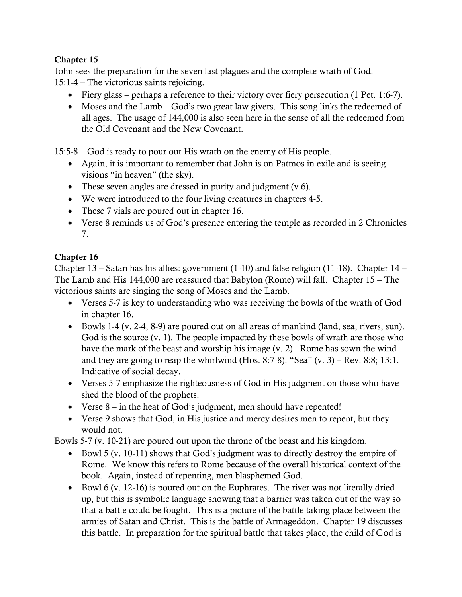John sees the preparation for the seven last plagues and the complete wrath of God. 15:1-4 – The victorious saints rejoicing.

- Fiery glass perhaps a reference to their victory over fiery persecution (1 Pet. 1:6-7).
- Moses and the Lamb God's two great law givers. This song links the redeemed of all ages. The usage of 144,000 is also seen here in the sense of all the redeemed from the Old Covenant and the New Covenant.

15:5-8 – God is ready to pour out His wrath on the enemy of His people.

- Again, it is important to remember that John is on Patmos in exile and is seeing visions "in heaven" (the sky).
- These seven angles are dressed in purity and judgment (v.6).
- We were introduced to the four living creatures in chapters 4-5.
- These 7 vials are poured out in chapter 16.
- Verse 8 reminds us of God's presence entering the temple as recorded in 2 Chronicles 7.

### Chapter 16

Chapter 13 – Satan has his allies: government (1-10) and false religion (11-18). Chapter 14 – The Lamb and His 144,000 are reassured that Babylon (Rome) will fall. Chapter 15 – The victorious saints are singing the song of Moses and the Lamb.

- Verses 5-7 is key to understanding who was receiving the bowls of the wrath of God in chapter 16.
- Bowls 1-4 (v. 2-4, 8-9) are poured out on all areas of mankind (land, sea, rivers, sun). God is the source (v. 1). The people impacted by these bowls of wrath are those who have the mark of the beast and worship his image (v. 2). Rome has sown the wind and they are going to reap the whirlwind (Hos. 8:7-8). "Sea"  $(v. 3)$  – Rev. 8:8; 13:1. Indicative of social decay.
- Verses 5-7 emphasize the righteousness of God in His judgment on those who have shed the blood of the prophets.
- Verse 8 in the heat of God's judgment, men should have repented!
- Verse 9 shows that God, in His justice and mercy desires men to repent, but they would not.

Bowls 5-7 (v. 10-21) are poured out upon the throne of the beast and his kingdom.

- Bowl 5 (v. 10-11) shows that God's judgment was to directly destroy the empire of Rome. We know this refers to Rome because of the overall historical context of the book. Again, instead of repenting, men blasphemed God.
- Bowl 6 (v. 12-16) is poured out on the Euphrates. The river was not literally dried up, but this is symbolic language showing that a barrier was taken out of the way so that a battle could be fought. This is a picture of the battle taking place between the armies of Satan and Christ. This is the battle of Armageddon. Chapter 19 discusses this battle. In preparation for the spiritual battle that takes place, the child of God is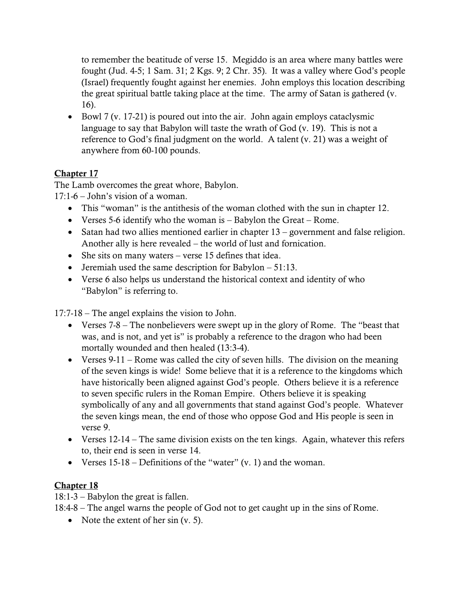to remember the beatitude of verse 15. Megiddo is an area where many battles were fought (Jud. 4-5; 1 Sam. 31; 2 Kgs. 9; 2 Chr. 35). It was a valley where God's people (Israel) frequently fought against her enemies. John employs this location describing the great spiritual battle taking place at the time. The army of Satan is gathered (v. 16).

• Bowl 7 (v. 17-21) is poured out into the air. John again employs cataclysmic language to say that Babylon will taste the wrath of God (v. 19). This is not a reference to God's final judgment on the world. A talent (v. 21) was a weight of anywhere from 60-100 pounds.

## Chapter 17

The Lamb overcomes the great whore, Babylon.

17:1-6 – John's vision of a woman.

- This "woman" is the antithesis of the woman clothed with the sun in chapter 12.
- Verses 5-6 identify who the woman is Babylon the Great Rome.
- Satan had two allies mentioned earlier in chapter 13 government and false religion. Another ally is here revealed – the world of lust and fornication.
- She sits on many waters verse 15 defines that idea.
- Jeremiah used the same description for Babylon 51:13.
- Verse 6 also helps us understand the historical context and identity of who "Babylon" is referring to.

17:7-18 – The angel explains the vision to John.

- Verses 7-8 The nonbelievers were swept up in the glory of Rome. The "beast that was, and is not, and yet is" is probably a reference to the dragon who had been mortally wounded and then healed (13:3-4).
- Verses 9-11 Rome was called the city of seven hills. The division on the meaning of the seven kings is wide! Some believe that it is a reference to the kingdoms which have historically been aligned against God's people. Others believe it is a reference to seven specific rulers in the Roman Empire. Others believe it is speaking symbolically of any and all governments that stand against God's people. Whatever the seven kings mean, the end of those who oppose God and His people is seen in verse 9.
- Verses 12-14 The same division exists on the ten kings. Again, whatever this refers to, their end is seen in verse 14.
- Verses  $15-18$  Definitions of the "water" (v. 1) and the woman.

- 18:1-3 Babylon the great is fallen.
- 18:4-8 The angel warns the people of God not to get caught up in the sins of Rome.
	- Note the extent of her sin (v. 5).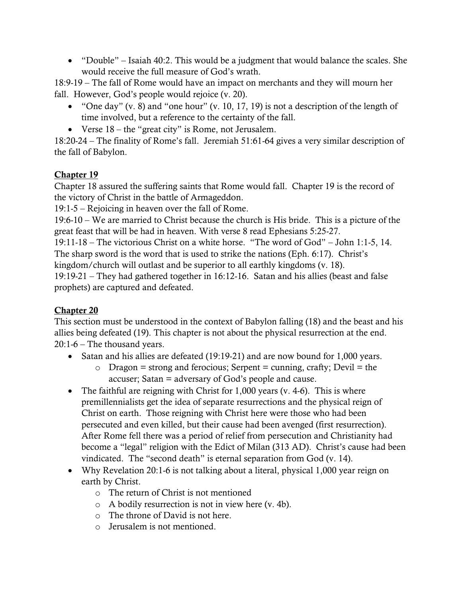• "Double" – Isaiah 40:2. This would be a judgment that would balance the scales. She would receive the full measure of God's wrath.

18:9-19 – The fall of Rome would have an impact on merchants and they will mourn her fall. However, God's people would rejoice (v. 20).

- "One day" (v. 8) and "one hour" (v. 10, 17, 19) is not a description of the length of time involved, but a reference to the certainty of the fall.
- Verse 18 the "great city" is Rome, not Jerusalem.

18:20-24 – The finality of Rome's fall. Jeremiah 51:61-64 gives a very similar description of the fall of Babylon.

### Chapter 19

Chapter 18 assured the suffering saints that Rome would fall. Chapter 19 is the record of the victory of Christ in the battle of Armageddon.

19:1-5 – Rejoicing in heaven over the fall of Rome.

19:6-10 – We are married to Christ because the church is His bride. This is a picture of the great feast that will be had in heaven. With verse 8 read Ephesians 5:25-27.

19:11-18 – The victorious Christ on a white horse. "The word of God" – John 1:1-5, 14. The sharp sword is the word that is used to strike the nations (Eph. 6:17). Christ's kingdom/church will outlast and be superior to all earthly kingdoms (v. 18).

19:19-21 – They had gathered together in 16:12-16. Satan and his allies (beast and false prophets) are captured and defeated.

# Chapter 20

This section must be understood in the context of Babylon falling (18) and the beast and his allies being defeated (19). This chapter is not about the physical resurrection at the end. 20:1-6 – The thousand years.

- Satan and his allies are defeated (19:19-21) and are now bound for 1,000 years.
	- $\circ$  Dragon = strong and ferocious; Serpent = cunning, crafty; Devil = the accuser; Satan = adversary of God's people and cause.
- The faithful are reigning with Christ for 1,000 years (y. 4-6). This is where premillennialists get the idea of separate resurrections and the physical reign of Christ on earth. Those reigning with Christ here were those who had been persecuted and even killed, but their cause had been avenged (first resurrection). After Rome fell there was a period of relief from persecution and Christianity had become a "legal" religion with the Edict of Milan (313 AD). Christ's cause had been vindicated. The "second death" is eternal separation from God (v. 14).
- Why Revelation 20:1-6 is not talking about a literal, physical 1,000 year reign on earth by Christ.
	- o The return of Christ is not mentioned
	- o A bodily resurrection is not in view here (v. 4b).
	- o The throne of David is not here.
	- o Jerusalem is not mentioned.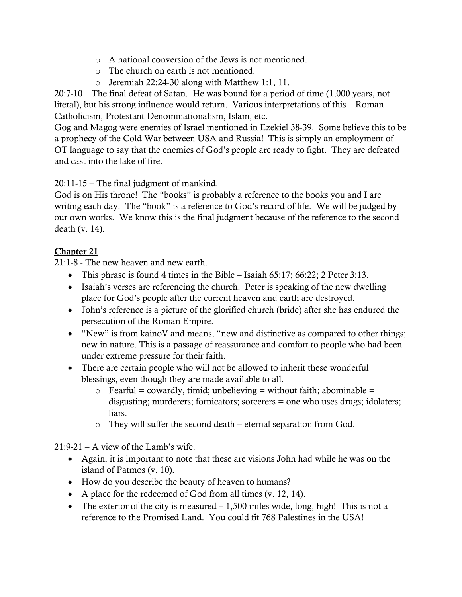- o A national conversion of the Jews is not mentioned.
- o The church on earth is not mentioned.
- o Jeremiah 22:24-30 along with Matthew 1:1, 11.

20:7-10 – The final defeat of Satan. He was bound for a period of time (1,000 years, not literal), but his strong influence would return. Various interpretations of this – Roman Catholicism, Protestant Denominationalism, Islam, etc.

Gog and Magog were enemies of Israel mentioned in Ezekiel 38-39. Some believe this to be a prophecy of the Cold War between USA and Russia! This is simply an employment of OT language to say that the enemies of God's people are ready to fight. They are defeated and cast into the lake of fire.

20:11-15 – The final judgment of mankind.

God is on His throne! The "books" is probably a reference to the books you and I are writing each day. The "book" is a reference to God's record of life. We will be judged by our own works. We know this is the final judgment because of the reference to the second death (v. 14).

### Chapter 21

21:1-8 - The new heaven and new earth.

- This phrase is found 4 times in the Bible Isaiah 65:17; 66:22; 2 Peter 3:13.
- Isaiah's verses are referencing the church. Peter is speaking of the new dwelling place for God's people after the current heaven and earth are destroyed.
- John's reference is a picture of the glorified church (bride) after she has endured the persecution of the Roman Empire.
- "New" is from kainoV and means, "new and distinctive as compared to other things; new in nature. This is a passage of reassurance and comfort to people who had been under extreme pressure for their faith.
- There are certain people who will not be allowed to inherit these wonderful blessings, even though they are made available to all.
	- $\circ$  Fearful = cowardly, timid; unbelieving = without faith; abominable = disgusting; murderers; fornicators; sorcerers = one who uses drugs; idolaters; liars.
	- o They will suffer the second death eternal separation from God.

 $21:9-21 - A$  view of the Lamb's wife.

- Again, it is important to note that these are visions John had while he was on the island of Patmos (v. 10).
- How do you describe the beauty of heaven to humans?
- A place for the redeemed of God from all times (v. 12, 14).
- The exterior of the city is measured  $-1,500$  miles wide, long, high! This is not a reference to the Promised Land. You could fit 768 Palestines in the USA!